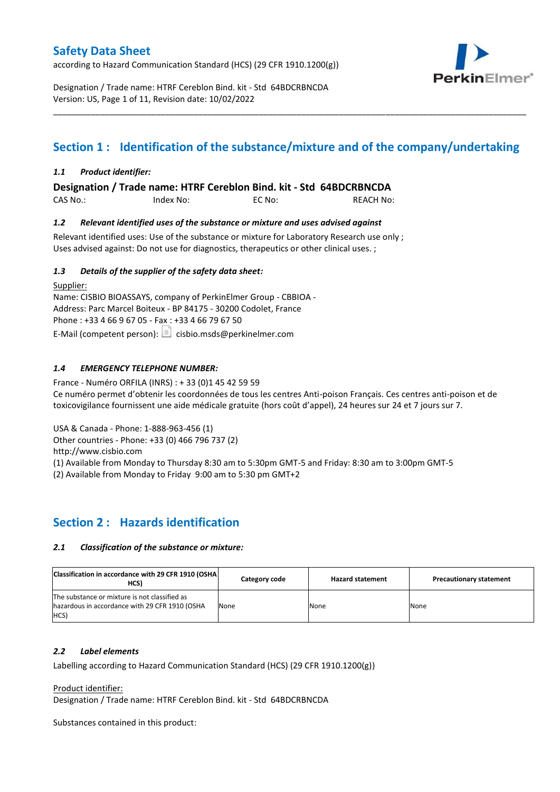according to Hazard Communication Standard (HCS) (29 CFR 1910.1200(g))



Designation / Trade name: HTRF Cereblon Bind. kit - Std 64BDCRBNCDA Version: US, Page 1 of 11, Revision date: 10/02/2022

# **Section 1 : Identification of the substance/mixture and of the company/undertaking**

\_\_\_\_\_\_\_\_\_\_\_\_\_\_\_\_\_\_\_\_\_\_\_\_\_\_\_\_\_\_\_\_\_\_\_\_\_\_\_\_\_\_\_\_\_\_\_\_\_\_\_\_\_\_\_\_\_\_\_\_\_\_\_\_\_\_\_\_\_\_\_\_\_\_\_\_\_\_\_\_\_\_\_\_\_\_\_\_\_\_\_\_\_\_\_\_\_\_\_\_\_

### *1.1 Product identifier:*

**Designation / Trade name: HTRF Cereblon Bind. kit - Std 64BDCRBNCDA** 

CAS No.: Index No: EC No: REACH No:

### *1.2 Relevant identified uses of the substance or mixture and uses advised against*

Relevant identified uses: Use of the substance or mixture for Laboratory Research use only ; Uses advised against: Do not use for diagnostics, therapeutics or other clinical uses. ;

### *1.3 Details of the supplier of the safety data sheet:*

Supplier: Name: CISBIO BIOASSAYS, company of PerkinElmer Group - CBBIOA - Address: Parc Marcel Boiteux - BP 84175 - 30200 Codolet, France Phone : +33 4 66 9 67 05 - Fax : +33 4 66 79 67 50 E-Mail (competent person):  $\boxed{\equiv}$  cisbio.msds@perkinelmer.com

### *1.4 EMERGENCY TELEPHONE NUMBER:*

France - Numéro ORFILA (INRS) : + 33 (0)1 45 42 59 59 Ce numéro permet d'obtenir les coordonnées de tous les centres Anti-poison Français. Ces centres anti-poison et de toxicovigilance fournissent une aide médicale gratuite (hors coût d'appel), 24 heures sur 24 et 7 jours sur 7.

USA & Canada - Phone: 1-888-963-456 (1)

Other countries - Phone: +33 (0) 466 796 737 (2)

http://www.cisbio.com

(1) Available from Monday to Thursday 8:30 am to 5:30pm GMT-5 and Friday: 8:30 am to 3:00pm GMT-5

(2) Available from Monday to Friday 9:00 am to 5:30 pm GMT+2

### **Section 2 : Hazards identification**

#### *2.1 Classification of the substance or mixture:*

| Classification in accordance with 29 CFR 1910 (OSHA)<br>HCS)                                            | Category code | <b>Hazard statement</b> | <b>Precautionary statement</b> |
|---------------------------------------------------------------------------------------------------------|---------------|-------------------------|--------------------------------|
| The substance or mixture is not classified as<br>hazardous in accordance with 29 CFR 1910 (OSHA<br>HCS) | None          | None                    | None                           |

#### *2.2 Label elements*

Labelling according to Hazard Communication Standard (HCS) (29 CFR 1910.1200(g))

Product identifier:

Designation / Trade name: HTRF Cereblon Bind. kit - Std 64BDCRBNCDA

Substances contained in this product: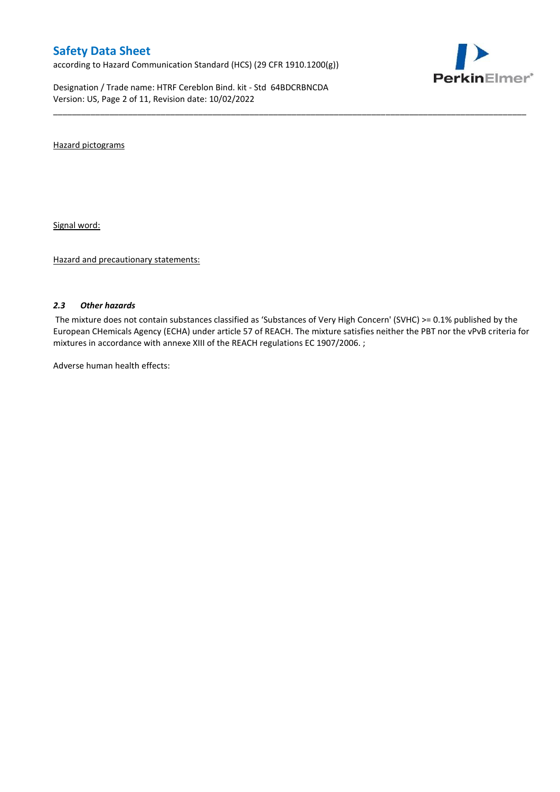according to Hazard Communication Standard (HCS) (29 CFR 1910.1200(g))

Designation / Trade name: HTRF Cereblon Bind. kit - Std 64BDCRBNCDA Version: US, Page 2 of 11, Revision date: 10/02/2022



Hazard pictograms

Signal word:

Hazard and precautionary statements:

#### *2.3 Other hazards*

The mixture does not contain substances classified as 'Substances of Very High Concern' (SVHC) >= 0.1% published by the European CHemicals Agency (ECHA) under article 57 of REACH. The mixture satisfies neither the PBT nor the vPvB criteria for mixtures in accordance with annexe XIII of the REACH regulations EC 1907/2006. ;

\_\_\_\_\_\_\_\_\_\_\_\_\_\_\_\_\_\_\_\_\_\_\_\_\_\_\_\_\_\_\_\_\_\_\_\_\_\_\_\_\_\_\_\_\_\_\_\_\_\_\_\_\_\_\_\_\_\_\_\_\_\_\_\_\_\_\_\_\_\_\_\_\_\_\_\_\_\_\_\_\_\_\_\_\_\_\_\_\_\_\_\_\_\_\_\_\_\_\_\_\_

Adverse human health effects: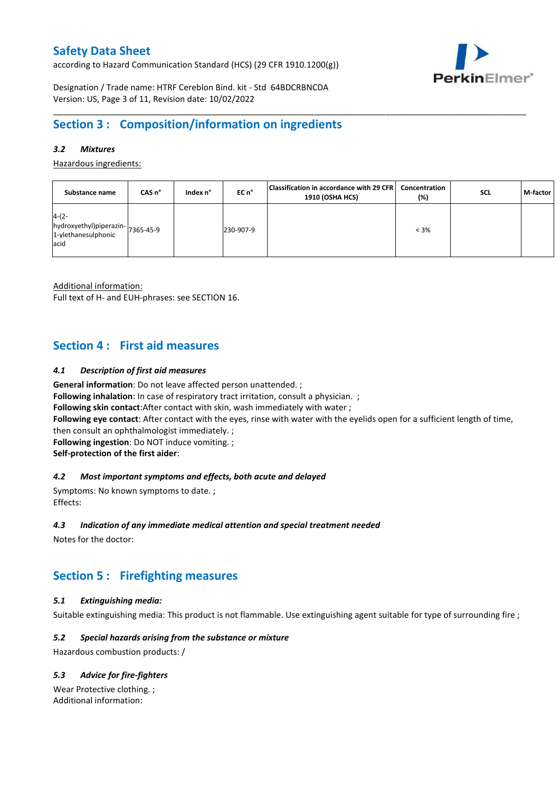according to Hazard Communication Standard (HCS) (29 CFR 1910.1200(g))



Designation / Trade name: HTRF Cereblon Bind. kit - Std 64BDCRBNCDA Version: US, Page 3 of 11, Revision date: 10/02/2022

## **Section 3 : Composition/information on ingredients**

### *3.2 Mixtures*

Hazardous ingredients:

| Substance name                                                             | CAS <sub>n</sub> ° | Index n° | EC n°     | Classification in accordance with 29 CFR   Concentration<br>1910 (OSHA HCS) | (%)     | <b>SCL</b> | M-factor |
|----------------------------------------------------------------------------|--------------------|----------|-----------|-----------------------------------------------------------------------------|---------|------------|----------|
| $4-(2-$<br>hydroxyethyl)piperazin-7365-45-9<br>1-ylethanesulphonic<br>acid |                    |          | 230-907-9 |                                                                             | $< 3\%$ |            |          |

\_\_\_\_\_\_\_\_\_\_\_\_\_\_\_\_\_\_\_\_\_\_\_\_\_\_\_\_\_\_\_\_\_\_\_\_\_\_\_\_\_\_\_\_\_\_\_\_\_\_\_\_\_\_\_\_\_\_\_\_\_\_\_\_\_\_\_\_\_\_\_\_\_\_\_\_\_\_\_\_\_\_\_\_\_\_\_\_\_\_\_\_\_\_\_\_\_\_\_\_\_

Additional information:

Full text of H- and EUH-phrases: see SECTION 16.

## **Section 4 : First aid measures**

### *4.1 Description of first aid measures*

**General information**: Do not leave affected person unattended. ;

**Following inhalation**: In case of respiratory tract irritation, consult a physician. ;

**Following skin contact**:After contact with skin, wash immediately with water ;

**Following eye contact**: After contact with the eyes, rinse with water with the eyelids open for a sufficient length of time,

then consult an ophthalmologist immediately. ;

**Following ingestion**: Do NOT induce vomiting. ;

**Self-protection of the first aider**:

#### *4.2 Most important symptoms and effects, both acute and delayed*

Symptoms: No known symptoms to date. ; Effects:

### *4.3 Indication of any immediate medical attention and special treatment needed*

Notes for the doctor:

# **Section 5 : Firefighting measures**

### *5.1 Extinguishing media:*

Suitable extinguishing media: This product is not flammable. Use extinguishing agent suitable for type of surrounding fire ;

### *5.2 Special hazards arising from the substance or mixture*

Hazardous combustion products: /

### *5.3 Advice for fire-fighters*

Wear Protective clothing. ; Additional information: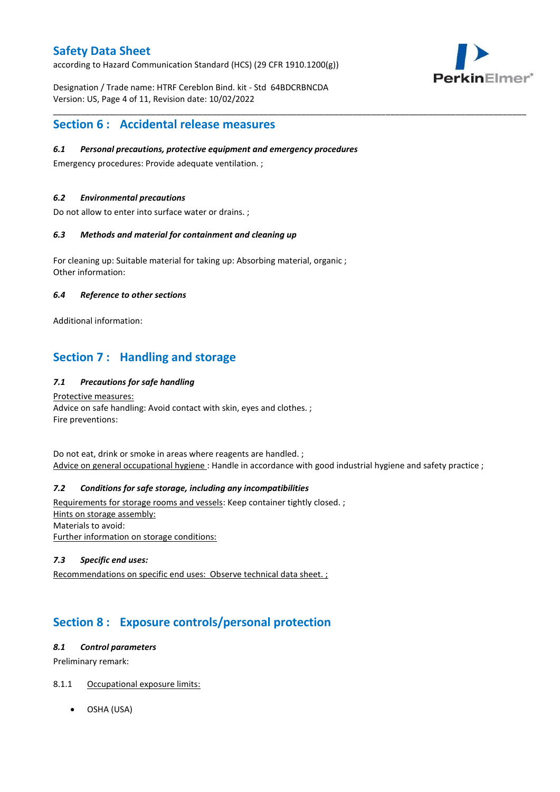according to Hazard Communication Standard (HCS) (29 CFR 1910.1200(g))



Designation / Trade name: HTRF Cereblon Bind. kit - Std 64BDCRBNCDA Version: US, Page 4 of 11, Revision date: 10/02/2022

### **Section 6 : Accidental release measures**

### *6.1 Personal precautions, protective equipment and emergency procedures*

Emergency procedures: Provide adequate ventilation. ;

### *6.2 Environmental precautions*

Do not allow to enter into surface water or drains. ;

#### *6.3 Methods and material for containment and cleaning up*

For cleaning up: Suitable material for taking up: Absorbing material, organic ; Other information:

### *6.4 Reference to other sections*

Additional information:

# **Section 7 : Handling and storage**

### *7.1 Precautions for safe handling*

Protective measures: Advice on safe handling: Avoid contact with skin, eyes and clothes. ; Fire preventions:

Do not eat, drink or smoke in areas where reagents are handled. ; Advice on general occupational hygiene : Handle in accordance with good industrial hygiene and safety practice ;

\_\_\_\_\_\_\_\_\_\_\_\_\_\_\_\_\_\_\_\_\_\_\_\_\_\_\_\_\_\_\_\_\_\_\_\_\_\_\_\_\_\_\_\_\_\_\_\_\_\_\_\_\_\_\_\_\_\_\_\_\_\_\_\_\_\_\_\_\_\_\_\_\_\_\_\_\_\_\_\_\_\_\_\_\_\_\_\_\_\_\_\_\_\_\_\_\_\_\_\_\_

### *7.2 Conditions for safe storage, including any incompatibilities*

Requirements for storage rooms and vessels: Keep container tightly closed. ; Hints on storage assembly: Materials to avoid: Further information on storage conditions:

#### *7.3 Specific end uses:*

Recommendations on specific end uses: Observe technical data sheet. ;

# **Section 8 : Exposure controls/personal protection**

#### *8.1 Control parameters*

Preliminary remark:

### 8.1.1 Occupational exposure limits:

OSHA (USA)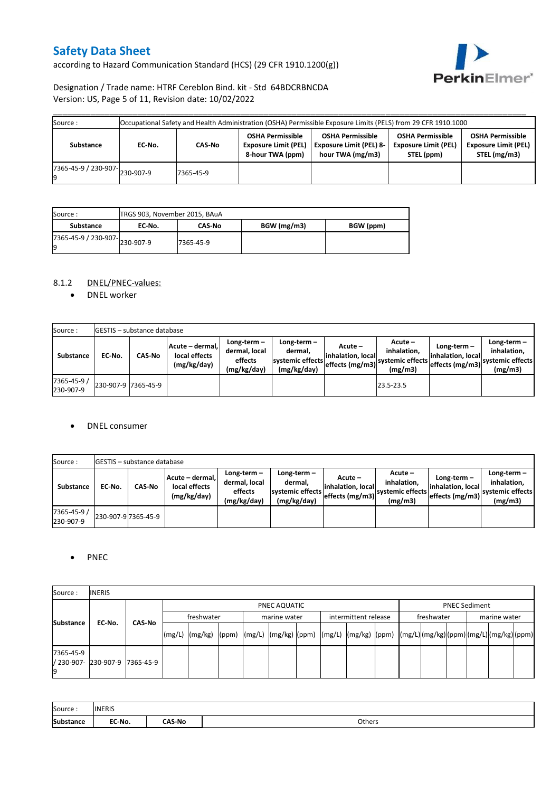according to Hazard Communication Standard (HCS) (29 CFR 1910.1200(g))



### Designation / Trade name: HTRF Cereblon Bind. kit - Std 64BDCRBNCDA Version: US, Page 5 of 11, Revision date: 10/02/2022

| Source :                      |        |           |                                                                            | Occupational Safety and Health Administration (OSHA) Permissible Exposure Limits (PELS) from 29 CFR 1910.1000 |                                                                      |                                                                        |
|-------------------------------|--------|-----------|----------------------------------------------------------------------------|---------------------------------------------------------------------------------------------------------------|----------------------------------------------------------------------|------------------------------------------------------------------------|
| Substance                     | EC-No. | CAS-No    | <b>OSHA Permissible</b><br><b>Exposure Limit (PEL)</b><br>8-hour TWA (ppm) | <b>OSHA Permissible</b><br><b>Exposure Limit (PEL) 8-</b><br>hour TWA (mg/m3)                                 | <b>OSHA Permissible</b><br><b>Exposure Limit (PEL)</b><br>STEL (ppm) | <b>OSHA Permissible</b><br><b>Exposure Limit (PEL)</b><br>STEL (mg/m3) |
| r365-45-9 / 230-907-230-907-9 |        | 7365-45-9 |                                                                            |                                                                                                               |                                                                      |                                                                        |

| Source:                             | TRGS 903, November 2015, BAuA |               |             |           |
|-------------------------------------|-------------------------------|---------------|-------------|-----------|
| Substance                           | EC No.                        | <b>CAS-No</b> | BGW (mg/m3) | BGW (ppm) |
| 7365-45-9 / 230-907-230-907-9<br>Ιg |                               | 7365-45-9     |             |           |

### 8.1.2 DNEL/PNEC-values:

• DNEL worker

| Source:                  |                     | <b>GESTIS</b> - substance database |                                                 |                                                       |                                                          |                                                  |                                                       |                                                         |                                                             |
|--------------------------|---------------------|------------------------------------|-------------------------------------------------|-------------------------------------------------------|----------------------------------------------------------|--------------------------------------------------|-------------------------------------------------------|---------------------------------------------------------|-------------------------------------------------------------|
| Substance                | EC No.              | <b>CAS-No</b>                      | Acute - dermal,<br>local effects<br>(mg/kg/day) | Long-term-<br>dermal, local<br>effects<br>(mg/kg/day) | Long-term-<br>dermal.<br>systemic effects<br>(mg/kg/day) | Acute –<br>linhalation. local<br>effects (mg/m3) | Acute –<br>inhalation.<br>systemic effects<br>(mg/m3) | Long-term $-$<br>linhalation. locall<br>effects (mg/m3) | $Long-term -$<br>inhalation,<br>systemic effects<br>(mg/m3) |
| 7365-45-9 /<br>230-907-9 | 230-907-9 7365-45-9 |                                    |                                                 |                                                       |                                                          |                                                  | 23.5-23.5                                             |                                                         |                                                             |

#### DNEL consumer

| Source:                  |        | <b>IGESTIS</b> – substance database |                                                  |                                                          |                                                          |                                                  |                                                       |                                                     |                                                          |
|--------------------------|--------|-------------------------------------|--------------------------------------------------|----------------------------------------------------------|----------------------------------------------------------|--------------------------------------------------|-------------------------------------------------------|-----------------------------------------------------|----------------------------------------------------------|
| <b>Substance</b>         | EC No. | <b>CAS No</b>                       | Acute – dermal. <br>local effects<br>(mg/kg/day) | Long-term $-$<br>dermal, local<br>effects<br>(mg/kg/day) | Long-term-<br>dermal,<br>systemic effects<br>(mg/kg/day) | Acute –<br>linhalation. local<br>effects (mg/m3) | Acute -<br>inhalation.<br>systemic effects<br>(mg/m3) | Long-term-<br>linhalation. local<br>effects (mg/m3) | Long-term-<br>inhalation.<br>systemic effects<br>(mg/m3) |
| 7365-45-9 /<br>230-907-9 |        | 230-907-9 7365-45-9                 |                                                  |                                                          |                                                          |                                                  |                                                       |                                                     |                                                          |

### • PNEC

| Source:          | <b>INERIS</b>                  |        |            |                    |  |              |  |                      |  |                                                                                                                                                                                                                                                                                                                                                                                                                                                                                                                       |  |              |  |  |                      |  |  |
|------------------|--------------------------------|--------|------------|--------------------|--|--------------|--|----------------------|--|-----------------------------------------------------------------------------------------------------------------------------------------------------------------------------------------------------------------------------------------------------------------------------------------------------------------------------------------------------------------------------------------------------------------------------------------------------------------------------------------------------------------------|--|--------------|--|--|----------------------|--|--|
| <b>Substance</b> | EC-No.                         |        |            | PNEC AQUATIC       |  |              |  |                      |  |                                                                                                                                                                                                                                                                                                                                                                                                                                                                                                                       |  |              |  |  | <b>PNEC Sediment</b> |  |  |
|                  |                                | CAS-No | freshwater |                    |  | marine water |  | intermittent release |  | freshwater                                                                                                                                                                                                                                                                                                                                                                                                                                                                                                            |  | marine water |  |  |                      |  |  |
|                  |                                |        |            | $(mg/L)$ $(mg/kg)$ |  |              |  |                      |  | $\lceil \frac{\text{pmm}}{\text{pmm}} \rceil \cdot \lceil \frac{\text{pmm}}{\text{pmm}} \rceil \cdot \lceil \frac{\text{pmm}}{\text{pmm}} \rceil \cdot \lceil \frac{\text{pmm}}{\text{pmm}} \rceil \cdot \lceil \frac{\text{pmm}}{\text{pmm}} \rceil \cdot \lceil \frac{\text{pmm}}{\text{pmm}} \rceil \cdot \lceil \frac{\text{pmm}}{\text{pmm}} \rceil \cdot \lceil \frac{\text{pmm}}{\text{pmm}} \rceil \cdot \lceil \frac{\text{pmm}}{\text{pmm}} \rceil \cdot \lceil \frac{\text{pmm}}{\text{pmm}} \rceil \cdot$ |  |              |  |  |                      |  |  |
| 7365-45-9<br>19  | / 230-907- 230-907-9 7365-45-9 |        |            |                    |  |              |  |                      |  |                                                                                                                                                                                                                                                                                                                                                                                                                                                                                                                       |  |              |  |  |                      |  |  |

| Source:   | <b>INERIS</b> |               |        |
|-----------|---------------|---------------|--------|
| Substance | EC-No.        | <b>∩AS-No</b> | Others |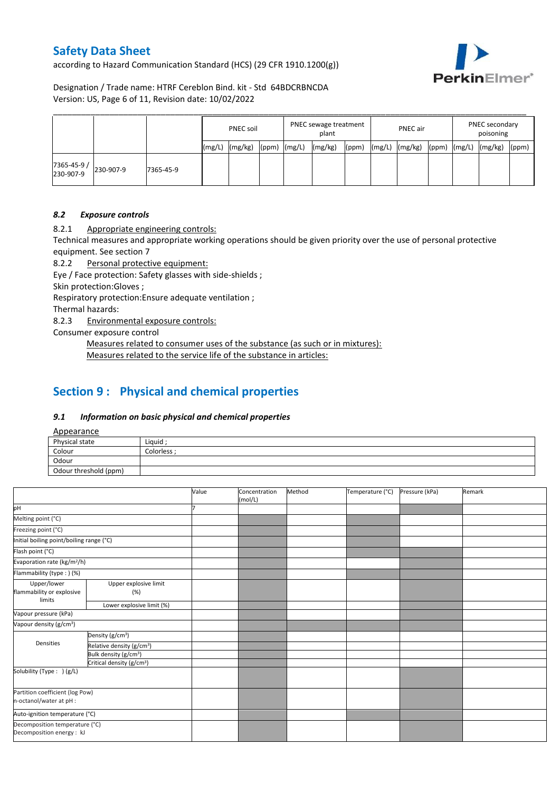according to Hazard Communication Standard (HCS) (29 CFR 1910.1200(g))



Designation / Trade name: HTRF Cereblon Bind. kit - Std 64BDCRBNCDA Version: US, Page 6 of 11, Revision date: 10/02/2022

|                          |           |           |       | <b>PNEC soil</b> |       |        | PNEC sewage treatment<br>plant |       |        | <b>PNEC</b> air |       |        | PNEC secondary<br>poisoning |       |  |
|--------------------------|-----------|-----------|-------|------------------|-------|--------|--------------------------------|-------|--------|-----------------|-------|--------|-----------------------------|-------|--|
|                          |           |           | (mg/L | (mg/kg)          | (ppm) | (mg/L) | (mg/kg)                        | (ppm) | (mg/L) | (mg/kg)         | (ppm) | (mg/L) | (mg/kg)                     | (ppm) |  |
| 7365-45-9 /<br>230-907-9 | 230-907-9 | 7365-45-9 |       |                  |       |        |                                |       |        |                 |       |        |                             |       |  |

### *8.2 Exposure controls*

8.2.1 Appropriate engineering controls:

Technical measures and appropriate working operations should be given priority over the use of personal protective equipment. See section 7

8.2.2 Personal protective equipment:

Eye / Face protection: Safety glasses with side-shields ;

Skin protection:Gloves ;

Respiratory protection:Ensure adequate ventilation ;

Thermal hazards:

8.2.3 Environmental exposure controls:

Consumer exposure control

Measures related to consumer uses of the substance (as such or in mixtures): Measures related to the service life of the substance in articles:

## **Section 9 : Physical and chemical properties**

#### *9.1 Information on basic physical and chemical properties*

Appearance

| $\frac{1}{2}$         |             |
|-----------------------|-------------|
| Physical state        | Liquid:     |
| Colour                | Colorless · |
| Odour                 |             |
| Odour threshold (ppm) |             |

|                                                             |                                       | Value | Concentration<br>(mol/L) | Method | Temperature (°C) | Pressure (kPa) | Remark |
|-------------------------------------------------------------|---------------------------------------|-------|--------------------------|--------|------------------|----------------|--------|
| pH                                                          |                                       |       |                          |        |                  |                |        |
| Melting point (°C)                                          |                                       |       |                          |        |                  |                |        |
| Freezing point (°C)                                         |                                       |       |                          |        |                  |                |        |
| Initial boiling point/boiling range (°C)                    |                                       |       |                          |        |                  |                |        |
| Flash point (°C)                                            |                                       |       |                          |        |                  |                |        |
| Evaporation rate (kg/m <sup>2</sup> /h)                     |                                       |       |                          |        |                  |                |        |
| Flammability (type:) (%)                                    |                                       |       |                          |        |                  |                |        |
| Upper/lower<br>flammability or explosive<br>limits          | Upper explosive limit<br>(%)          |       |                          |        |                  |                |        |
|                                                             | Lower explosive limit (%)             |       |                          |        |                  |                |        |
| Vapour pressure (kPa)                                       |                                       |       |                          |        |                  |                |        |
| Vapour density (g/cm <sup>3</sup> )                         |                                       |       |                          |        |                  |                |        |
|                                                             | Density (g/cm <sup>3</sup> )          |       |                          |        |                  |                |        |
| <b>Densities</b>                                            | Relative density (g/cm <sup>3</sup> ) |       |                          |        |                  |                |        |
|                                                             | Bulk density (g/cm <sup>3</sup> )     |       |                          |        |                  |                |        |
|                                                             | Critical density (g/cm <sup>3</sup> ) |       |                          |        |                  |                |        |
| Solubility (Type: ) (g/L)                                   |                                       |       |                          |        |                  |                |        |
| Partition coefficient (log Pow)                             |                                       |       |                          |        |                  |                |        |
| n-octanol/water at pH :                                     |                                       |       |                          |        |                  |                |        |
| Auto-ignition temperature (°C)                              |                                       |       |                          |        |                  |                |        |
| Decomposition temperature (°C)<br>Decomposition energy : kJ |                                       |       |                          |        |                  |                |        |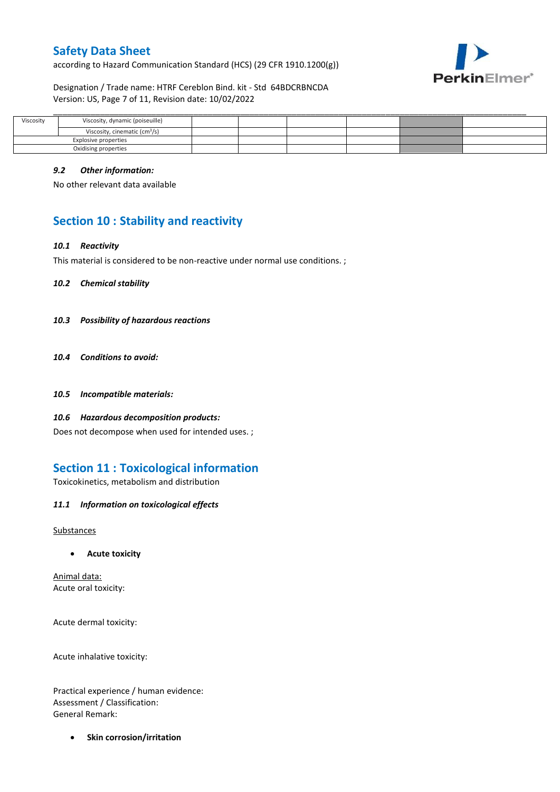according to Hazard Communication Standard (HCS) (29 CFR 1910.1200(g))



Designation / Trade name: HTRF Cereblon Bind. kit - Std 64BDCRBNCDA Version: US, Page 7 of 11, Revision date: 10/02/2022

| Viscosity | Viscosity, dynamic (poiseuille)           |  |  |  |
|-----------|-------------------------------------------|--|--|--|
|           | Viscosity, cinematic (cm <sup>3</sup> /s) |  |  |  |
|           | Explosive properties                      |  |  |  |
|           | Oxidising properties                      |  |  |  |

#### *9.2 Other information:*

No other relevant data available

# **Section 10 : Stability and reactivity**

#### *10.1 Reactivity*

This material is considered to be non-reactive under normal use conditions. ;

*10.2 Chemical stability*

- *10.3 Possibility of hazardous reactions*
- *10.4 Conditions to avoid:*
- *10.5 Incompatible materials:*
- *10.6 Hazardous decomposition products:*

Does not decompose when used for intended uses. ;

## **Section 11 : Toxicological information**

Toxicokinetics, metabolism and distribution

*11.1 Information on toxicological effects*

**Substances** 

**Acute toxicity**

Animal data: Acute oral toxicity:

Acute dermal toxicity:

Acute inhalative toxicity:

Practical experience / human evidence: Assessment / Classification: General Remark:

**•** Skin corrosion/irritation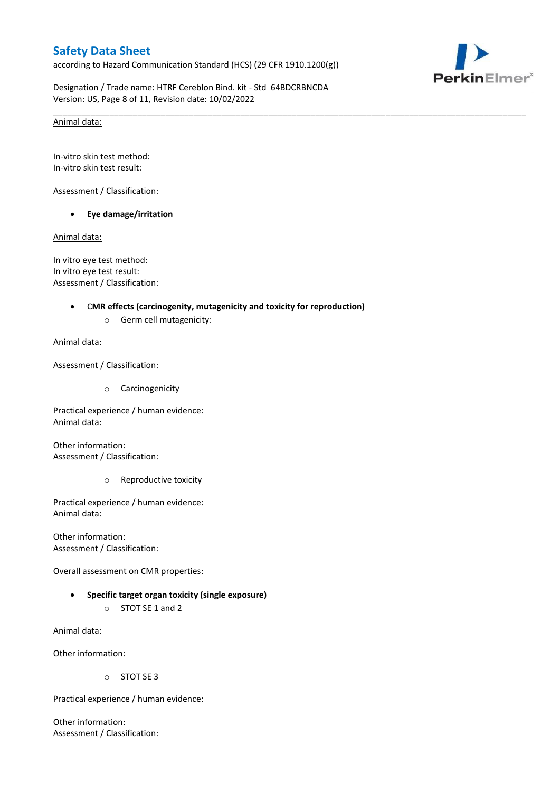according to Hazard Communication Standard (HCS) (29 CFR 1910.1200(g))



Designation / Trade name: HTRF Cereblon Bind. kit - Std 64BDCRBNCDA Version: US, Page 8 of 11, Revision date: 10/02/2022

\_\_\_\_\_\_\_\_\_\_\_\_\_\_\_\_\_\_\_\_\_\_\_\_\_\_\_\_\_\_\_\_\_\_\_\_\_\_\_\_\_\_\_\_\_\_\_\_\_\_\_\_\_\_\_\_\_\_\_\_\_\_\_\_\_\_\_\_\_\_\_\_\_\_\_\_\_\_\_\_\_\_\_\_\_\_\_\_\_\_\_\_\_\_\_\_\_\_\_\_\_

#### Animal data:

In-vitro skin test method: In-vitro skin test result:

Assessment / Classification:

**Eye damage/irritation**

Animal data:

In vitro eye test method: In vitro eye test result: Assessment / Classification:

#### C**MR effects (carcinogenity, mutagenicity and toxicity for reproduction)**

o Germ cell mutagenicity:

Animal data:

Assessment / Classification:

o Carcinogenicity

Practical experience / human evidence: Animal data:

Other information: Assessment / Classification:

o Reproductive toxicity

Practical experience / human evidence: Animal data:

Other information: Assessment / Classification:

Overall assessment on CMR properties:

 **Specific target organ toxicity (single exposure)** o STOT SE 1 and 2

Animal data:

Other information:

o STOT SE 3

Practical experience / human evidence:

Other information: Assessment / Classification: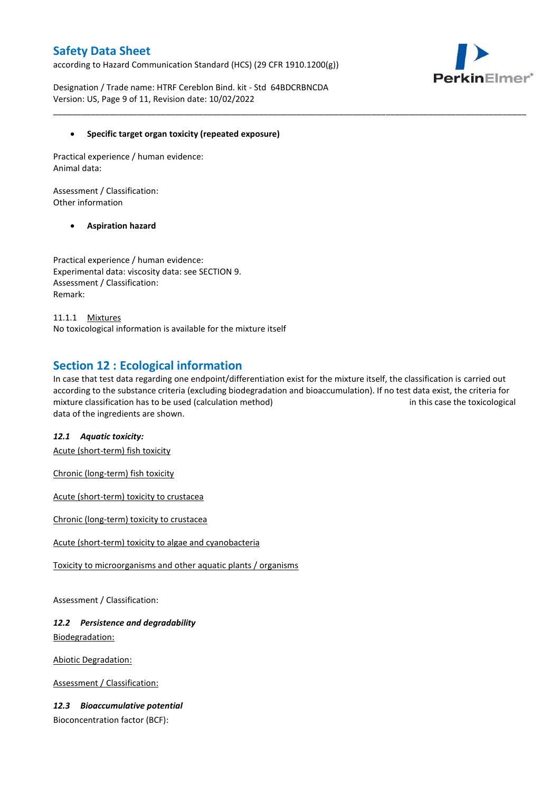according to Hazard Communication Standard (HCS) (29 CFR 1910.1200(g))



Designation / Trade name: HTRF Cereblon Bind. kit - Std 64BDCRBNCDA Version: US, Page 9 of 11, Revision date: 10/02/2022

### **Specific target organ toxicity (repeated exposure)**

Practical experience / human evidence: Animal data:

Assessment / Classification: Other information

### **Aspiration hazard**

Practical experience / human evidence: Experimental data: viscosity data: see SECTION 9. Assessment / Classification: Remark:

11.1.1 Mixtures No toxicological information is available for the mixture itself

## **Section 12 : Ecological information**

In case that test data regarding one endpoint/differentiation exist for the mixture itself, the classification is carried out according to the substance criteria (excluding biodegradation and bioaccumulation). If no test data exist, the criteria for mixture classification has to be used (calculation method) in this case the toxicological data of the ingredients are shown.

\_\_\_\_\_\_\_\_\_\_\_\_\_\_\_\_\_\_\_\_\_\_\_\_\_\_\_\_\_\_\_\_\_\_\_\_\_\_\_\_\_\_\_\_\_\_\_\_\_\_\_\_\_\_\_\_\_\_\_\_\_\_\_\_\_\_\_\_\_\_\_\_\_\_\_\_\_\_\_\_\_\_\_\_\_\_\_\_\_\_\_\_\_\_\_\_\_\_\_\_\_

#### *12.1 Aquatic toxicity:*

Acute (short-term) fish toxicity

Chronic (long-term) fish toxicity

Acute (short-term) toxicity to crustacea

Chronic (long-term) toxicity to crustacea

Acute (short-term) toxicity to algae and cyanobacteria

Toxicity to microorganisms and other aquatic plants / organisms

Assessment / Classification:

### *12.2 Persistence and degradability* Biodegradation:

Abiotic Degradation:

Assessment / Classification:

### *12.3 Bioaccumulative potential*

Bioconcentration factor (BCF):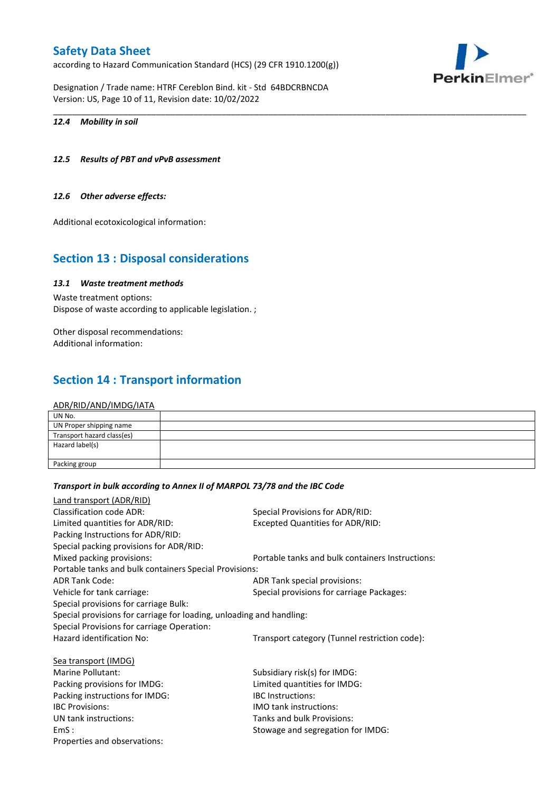according to Hazard Communication Standard (HCS) (29 CFR 1910.1200(g))

Designation / Trade name: HTRF Cereblon Bind. kit - Std 64BDCRBNCDA Version: US, Page 10 of 11, Revision date: 10/02/2022

#### *12.4 Mobility in soil*

### *12.5 Results of PBT and vPvB assessment*

#### *12.6 Other adverse effects:*

Additional ecotoxicological information:

## **Section 13 : Disposal considerations**

### *13.1 Waste treatment methods*

Waste treatment options: Dispose of waste according to applicable legislation. ;

Other disposal recommendations: Additional information:

## **Section 14 : Transport information**

#### ADR/RID/AND/IMDG/IATA

| UN No.                     |  |
|----------------------------|--|
| UN Proper shipping name    |  |
| Transport hazard class(es) |  |
| Hazard label(s)            |  |
|                            |  |
| Packing group              |  |

\_\_\_\_\_\_\_\_\_\_\_\_\_\_\_\_\_\_\_\_\_\_\_\_\_\_\_\_\_\_\_\_\_\_\_\_\_\_\_\_\_\_\_\_\_\_\_\_\_\_\_\_\_\_\_\_\_\_\_\_\_\_\_\_\_\_\_\_\_\_\_\_\_\_\_\_\_\_\_\_\_\_\_\_\_\_\_\_\_\_\_\_\_\_\_\_\_\_\_\_\_

#### *Transport in bulk according to Annex II of MARPOL 73/78 and the IBC Code*

| Land transport (ADR/RID)                                             |                                                  |
|----------------------------------------------------------------------|--------------------------------------------------|
| <b>Classification code ADR:</b>                                      | Special Provisions for ADR/RID:                  |
| Limited quantities for ADR/RID:                                      | <b>Excepted Quantities for ADR/RID:</b>          |
| Packing Instructions for ADR/RID:                                    |                                                  |
| Special packing provisions for ADR/RID:                              |                                                  |
| Mixed packing provisions:                                            | Portable tanks and bulk containers Instructions: |
| Portable tanks and bulk containers Special Provisions:               |                                                  |
| <b>ADR Tank Code:</b>                                                | ADR Tank special provisions:                     |
| Vehicle for tank carriage:                                           | Special provisions for carriage Packages:        |
| Special provisions for carriage Bulk:                                |                                                  |
| Special provisions for carriage for loading, unloading and handling: |                                                  |
| Special Provisions for carriage Operation:                           |                                                  |
| Hazard identification No:                                            | Transport category (Tunnel restriction code):    |
| Sea transport (IMDG)                                                 |                                                  |
| Marine Pollutant:                                                    | Subsidiary risk(s) for IMDG:                     |
| Packing provisions for IMDG:                                         | Limited quantities for IMDG:                     |
| Packing instructions for IMDG:                                       | <b>IBC</b> Instructions:                         |
| <b>IBC Provisions:</b>                                               | <b>IMO tank instructions:</b>                    |
| UN tank instructions:                                                | Tanks and bulk Provisions:                       |
| EmS:                                                                 | Stowage and segregation for IMDG:                |
| Properties and observations:                                         |                                                  |